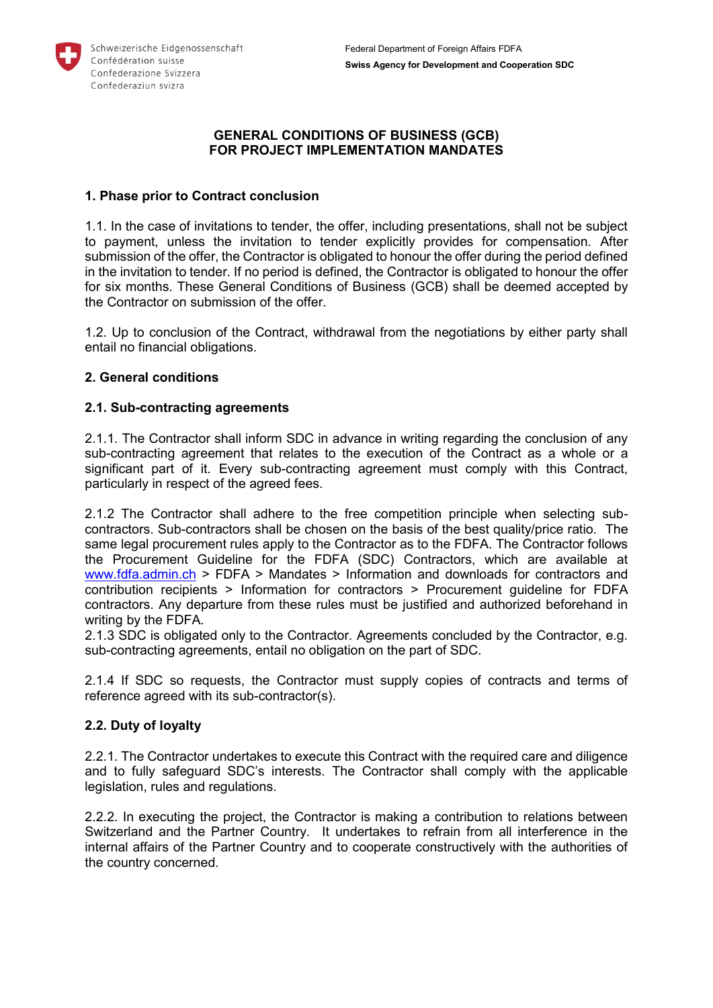

## **GENERAL CONDITIONS OF BUSINESS (GCB) FOR PROJECT IMPLEMENTATION MANDATES**

## **1. Phase prior to Contract conclusion**

1.1. In the case of invitations to tender, the offer, including presentations, shall not be subject to payment, unless the invitation to tender explicitly provides for compensation. After submission of the offer, the Contractor is obligated to honour the offer during the period defined in the invitation to tender. If no period is defined, the Contractor is obligated to honour the offer for six months. These General Conditions of Business (GCB) shall be deemed accepted by the Contractor on submission of the offer.

1.2. Up to conclusion of the Contract, withdrawal from the negotiations by either party shall entail no financial obligations.

## **2. General conditions**

## **2.1. Sub-contracting agreements**

2.1.1. The Contractor shall inform SDC in advance in writing regarding the conclusion of any sub-contracting agreement that relates to the execution of the Contract as a whole or a significant part of it. Every sub-contracting agreement must comply with this Contract, particularly in respect of the agreed fees.

2.1.2 The Contractor shall adhere to the free competition principle when selecting subcontractors. Sub-contractors shall be chosen on the basis of the best quality/price ratio. The same legal procurement rules apply to the Contractor as to the FDFA. The Contractor follows the Procurement Guideline for the FDFA (SDC) Contractors, which are available at [www.fdfa.admin.ch](https://www.eda.admin.ch/eda/en/fdfa/fdfa/auftraege/informationen-downloads/information-contractors.html) > FDFA > Mandates > Information and downloads for contractors and contribution recipients > Information for contractors > Procurement guideline for FDFA contractors. Any departure from these rules must be justified and authorized beforehand in writing by the FDFA.

2.1.3 SDC is obligated only to the Contractor. Agreements concluded by the Contractor, e.g. sub-contracting agreements, entail no obligation on the part of SDC.

2.1.4 If SDC so requests, the Contractor must supply copies of contracts and terms of reference agreed with its sub-contractor(s).

## **2.2. Duty of loyalty**

2.2.1. The Contractor undertakes to execute this Contract with the required care and diligence and to fully safeguard SDC's interests. The Contractor shall comply with the applicable legislation, rules and regulations.

2.2.2. In executing the project, the Contractor is making a contribution to relations between Switzerland and the Partner Country. It undertakes to refrain from all interference in the internal affairs of the Partner Country and to cooperate constructively with the authorities of the country concerned.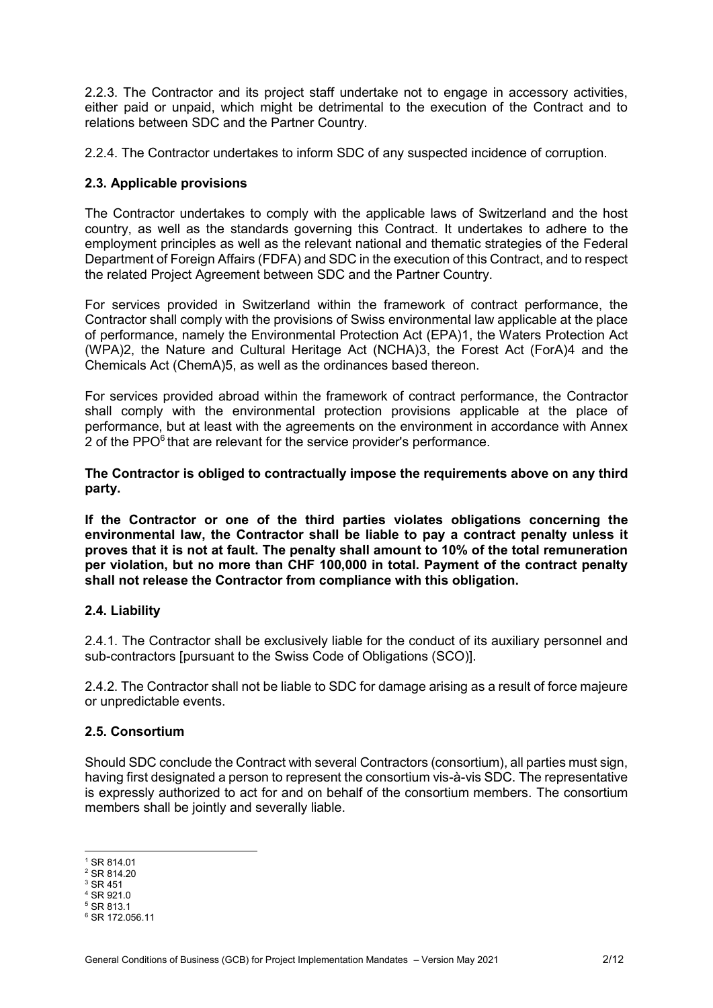2.2.3. The Contractor and its project staff undertake not to engage in accessory activities, either paid or unpaid, which might be detrimental to the execution of the Contract and to relations between SDC and the Partner Country.

2.2.4. The Contractor undertakes to inform SDC of any suspected incidence of corruption.

## **2.3. Applicable provisions**

The Contractor undertakes to comply with the applicable laws of Switzerland and the host country, as well as the standards governing this Contract. It undertakes to adhere to the employment principles as well as the relevant national and thematic strategies of the Federal Department of Foreign Affairs (FDFA) and SDC in the execution of this Contract, and to respect the related Project Agreement between SDC and the Partner Country.

For services provided in Switzerland within the framework of contract performance, the Contractor shall comply with the provisions of Swiss environmental law applicable at the place of performance, namely the Environmental Protection Act (EPA)1, the Waters Protection Act (WPA)2, the Nature and Cultural Heritage Act (NCHA)3, the Forest Act (ForA)4 and the Chemicals Act (ChemA)5, as well as the ordinances based thereon.

For services provided abroad within the framework of contract performance, the Contractor shall comply with the environmental protection provisions applicable at the place of performance, but at least with the agreements on the environment in accordance with Annex 2 of the PPO<sup>6</sup> that are relevant for the service provider's performance.

**The Contractor is obliged to contractually impose the requirements above on any third party.**

**If the Contractor or one of the third parties violates obligations concerning the environmental law, the Contractor shall be liable to pay a contract penalty unless it proves that it is not at fault. The penalty shall amount to 10% of the total remuneration per violation, but no more than CHF 100,000 in total. Payment of the contract penalty shall not release the Contractor from compliance with this obligation.** 

## **2.4. Liability**

2.4.1. The Contractor shall be exclusively liable for the conduct of its auxiliary personnel and sub-contractors [pursuant to the Swiss Code of Obligations (SCO)].

2.4.2. The Contractor shall not be liable to SDC for damage arising as a result of force majeure or unpredictable events.

## **2.5. Consortium**

Should SDC conclude the Contract with several Contractors (consortium), all parties must sign, having first designated a person to represent the consortium vis-à-vis SDC. The representative is expressly authorized to act for and on behalf of the consortium members. The consortium members shall be jointly and severally liable.

 $\overline{a}$ 

 $1$  SR 814.01 <sup>2</sup> SR 814.20

<sup>3</sup> SR 451

<sup>4</sup> SR 921.0

<sup>5</sup> SR 813.1

<sup>6</sup> SR 172.056.11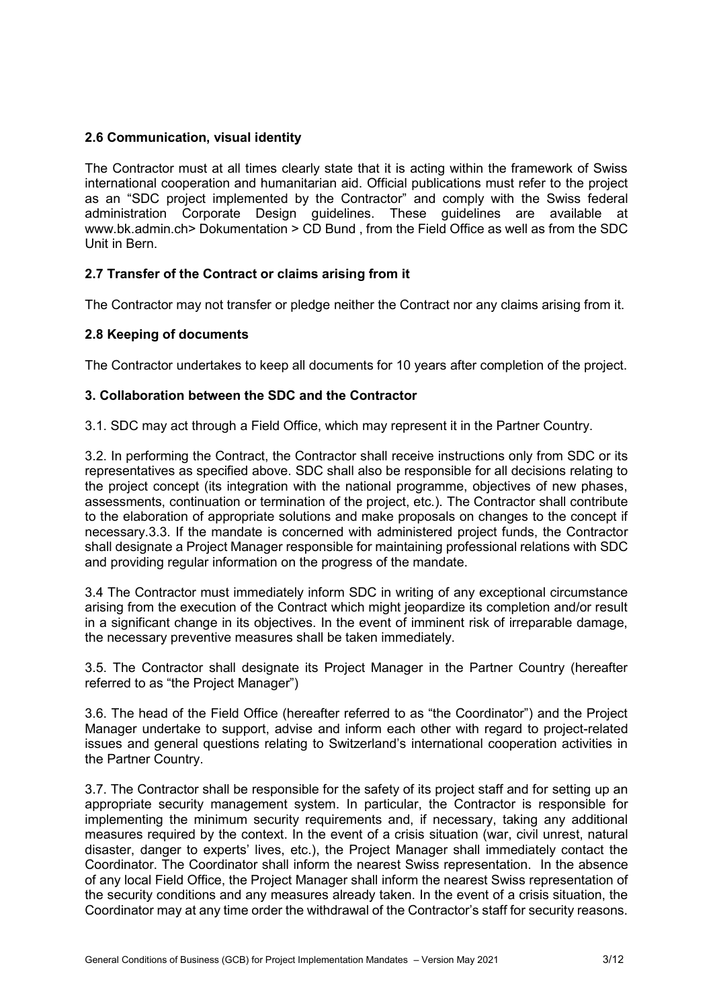# **2.6 Communication, visual identity**

The Contractor must at all times clearly state that it is acting within the framework of Swiss international cooperation and humanitarian aid. Official publications must refer to the project as an "SDC project implemented by the Contractor" and comply with the Swiss federal administration Corporate Design guidelines. These guidelines are available at www.bk.admin.ch> Dokumentation > CD Bund , from the Field Office as well as from the SDC Unit in Bern.

# **2.7 Transfer of the Contract or claims arising from it**

The Contractor may not transfer or pledge neither the Contract nor any claims arising from it.

## **2.8 Keeping of documents**

The Contractor undertakes to keep all documents for 10 years after completion of the project.

## **3. Collaboration between the SDC and the Contractor**

3.1. SDC may act through a Field Office, which may represent it in the Partner Country.

3.2. In performing the Contract, the Contractor shall receive instructions only from SDC or its representatives as specified above. SDC shall also be responsible for all decisions relating to the project concept (its integration with the national programme, objectives of new phases, assessments, continuation or termination of the project, etc.). The Contractor shall contribute to the elaboration of appropriate solutions and make proposals on changes to the concept if necessary.3.3. If the mandate is concerned with administered project funds, the Contractor shall designate a Project Manager responsible for maintaining professional relations with SDC and providing regular information on the progress of the mandate.

3.4 The Contractor must immediately inform SDC in writing of any exceptional circumstance arising from the execution of the Contract which might jeopardize its completion and/or result in a significant change in its objectives. In the event of imminent risk of irreparable damage, the necessary preventive measures shall be taken immediately.

3.5. The Contractor shall designate its Project Manager in the Partner Country (hereafter referred to as "the Project Manager")

3.6. The head of the Field Office (hereafter referred to as "the Coordinator") and the Project Manager undertake to support, advise and inform each other with regard to project-related issues and general questions relating to Switzerland's international cooperation activities in the Partner Country.

3.7. The Contractor shall be responsible for the safety of its project staff and for setting up an appropriate security management system. In particular, the Contractor is responsible for implementing the minimum security requirements and, if necessary, taking any additional measures required by the context. In the event of a crisis situation (war, civil unrest, natural disaster, danger to experts' lives, etc.), the Project Manager shall immediately contact the Coordinator. The Coordinator shall inform the nearest Swiss representation. In the absence of any local Field Office, the Project Manager shall inform the nearest Swiss representation of the security conditions and any measures already taken. In the event of a crisis situation, the Coordinator may at any time order the withdrawal of the Contractor's staff for security reasons.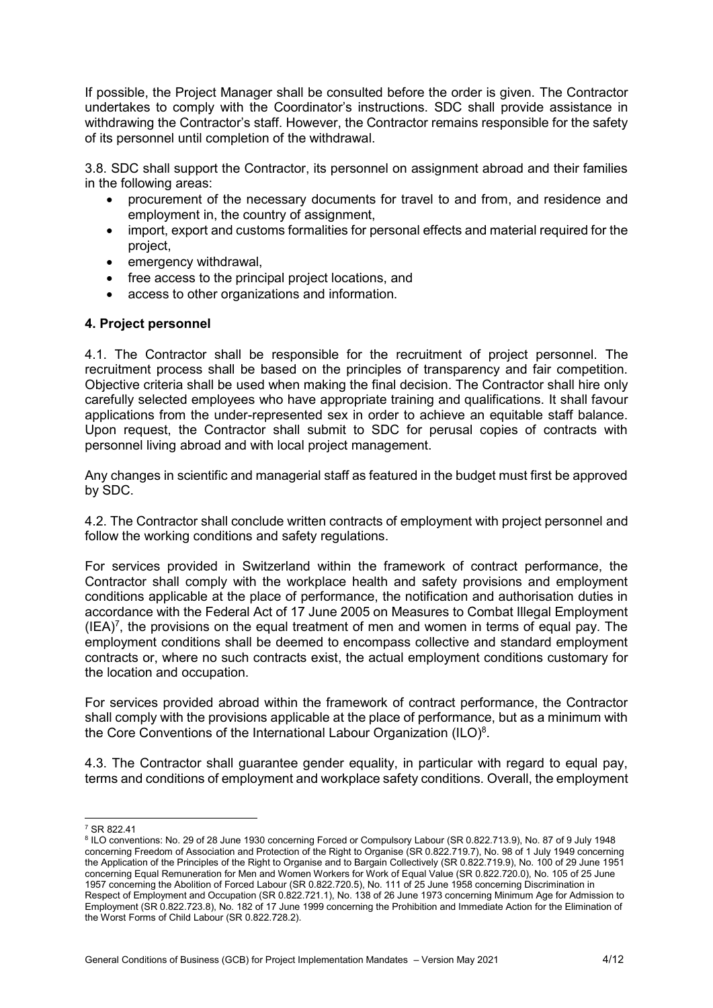If possible, the Project Manager shall be consulted before the order is given. The Contractor undertakes to comply with the Coordinator's instructions. SDC shall provide assistance in withdrawing the Contractor's staff. However, the Contractor remains responsible for the safety of its personnel until completion of the withdrawal.

3.8. SDC shall support the Contractor, its personnel on assignment abroad and their families in the following areas:

- procurement of the necessary documents for travel to and from, and residence and employment in, the country of assignment,
- import, export and customs formalities for personal effects and material required for the project,
- emergency withdrawal,
- free access to the principal project locations, and
- access to other organizations and information.

### **4. Project personnel**

4.1. The Contractor shall be responsible for the recruitment of project personnel. The recruitment process shall be based on the principles of transparency and fair competition. Objective criteria shall be used when making the final decision. The Contractor shall hire only carefully selected employees who have appropriate training and qualifications. It shall favour applications from the under-represented sex in order to achieve an equitable staff balance. Upon request, the Contractor shall submit to SDC for perusal copies of contracts with personnel living abroad and with local project management.

Any changes in scientific and managerial staff as featured in the budget must first be approved by SDC.

4.2. The Contractor shall conclude written contracts of employment with project personnel and follow the working conditions and safety regulations.

For services provided in Switzerland within the framework of contract performance, the Contractor shall comply with the workplace health and safety provisions and employment conditions applicable at the place of performance, the notification and authorisation duties in accordance with the Federal Act of 17 June 2005 on Measures to Combat Illegal Employment  $(IEA)^7$ , the provisions on the equal treatment of men and women in terms of equal pay. The employment conditions shall be deemed to encompass collective and standard employment contracts or, where no such contracts exist, the actual employment conditions customary for the location and occupation.

For services provided abroad within the framework of contract performance, the Contractor shall comply with the provisions applicable at the place of performance, but as a minimum with the Core Conventions of the International Labour Organization (ILO) $8$ .

4.3. The Contractor shall guarantee gender equality, in particular with regard to equal pay, terms and conditions of employment and workplace safety conditions. Overall, the employment

  $7$  SR 822.41

<sup>8</sup> ILO conventions: No. 29 of 28 June 1930 concerning Forced or Compulsory Labour (SR 0.822.713.9), No. 87 of 9 July 1948 concerning Freedom of Association and Protection of the Right to Organise (SR 0.822.719.7), No. 98 of 1 July 1949 concerning the Application of the Principles of the Right to Organise and to Bargain Collectively (SR 0.822.719.9), No. 100 of 29 June 1951 concerning Equal Remuneration for Men and Women Workers for Work of Equal Value (SR 0.822.720.0), No. 105 of 25 June 1957 concerning the Abolition of Forced Labour (SR 0.822.720.5), No. 111 of 25 June 1958 concerning Discrimination in Respect of Employment and Occupation (SR 0.822.721.1), No. 138 of 26 June 1973 concerning Minimum Age for Admission to Employment (SR 0.822.723.8), No. 182 of 17 June 1999 concerning the Prohibition and Immediate Action for the Elimination of the Worst Forms of Child Labour (SR 0.822.728.2).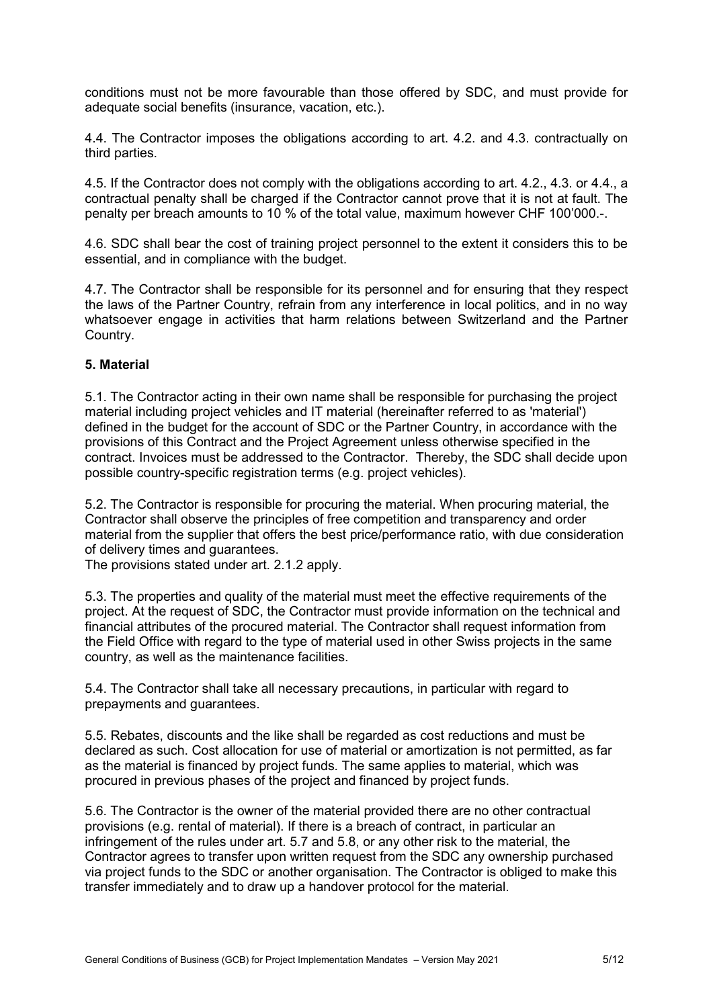conditions must not be more favourable than those offered by SDC, and must provide for adequate social benefits (insurance, vacation, etc.).

4.4. The Contractor imposes the obligations according to art. 4.2. and 4.3. contractually on third parties.

4.5. If the Contractor does not comply with the obligations according to art. 4.2., 4.3. or 4.4., a contractual penalty shall be charged if the Contractor cannot prove that it is not at fault. The penalty per breach amounts to 10 % of the total value, maximum however CHF 100'000.-.

4.6. SDC shall bear the cost of training project personnel to the extent it considers this to be essential, and in compliance with the budget.

4.7. The Contractor shall be responsible for its personnel and for ensuring that they respect the laws of the Partner Country, refrain from any interference in local politics, and in no way whatsoever engage in activities that harm relations between Switzerland and the Partner Country.

## **5. Material**

5.1. The Contractor acting in their own name shall be responsible for purchasing the project material including project vehicles and IT material (hereinafter referred to as 'material') defined in the budget for the account of SDC or the Partner Country, in accordance with the provisions of this Contract and the Project Agreement unless otherwise specified in the contract. Invoices must be addressed to the Contractor. Thereby, the SDC shall decide upon possible country-specific registration terms (e.g. project vehicles).

5.2. The Contractor is responsible for procuring the material. When procuring material, the Contractor shall observe the principles of free competition and transparency and order material from the supplier that offers the best price/performance ratio, with due consideration of delivery times and guarantees.

The provisions stated under art. 2.1.2 apply.

5.3. The properties and quality of the material must meet the effective requirements of the project. At the request of SDC, the Contractor must provide information on the technical and financial attributes of the procured material. The Contractor shall request information from the Field Office with regard to the type of material used in other Swiss projects in the same country, as well as the maintenance facilities.

5.4. The Contractor shall take all necessary precautions, in particular with regard to prepayments and guarantees.

5.5. Rebates, discounts and the like shall be regarded as cost reductions and must be declared as such. Cost allocation for use of material or amortization is not permitted, as far as the material is financed by project funds. The same applies to material, which was procured in previous phases of the project and financed by project funds.

5.6. The Contractor is the owner of the material provided there are no other contractual provisions (e.g. rental of material). If there is a breach of contract, in particular an infringement of the rules under art. 5.7 and 5.8, or any other risk to the material, the Contractor agrees to transfer upon written request from the SDC any ownership purchased via project funds to the SDC or another organisation. The Contractor is obliged to make this transfer immediately and to draw up a handover protocol for the material.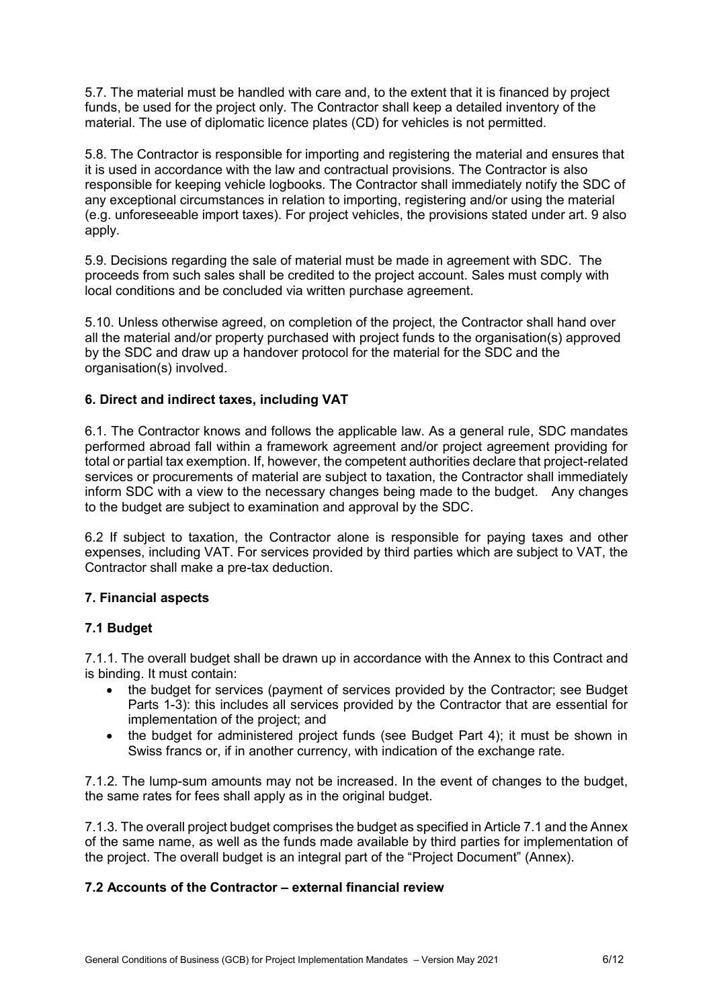5.7. The material must be handled with care and, to the extent that it is financed by project funds, be used for the project only. The Contractor shall keep a detailed inventory of the material. The use of diplomatic licence plates (CD) for vehicles is not permitted.

5.8. The Contractor is responsible for importing and registering the material and ensures that it is used in accordance with the law and contractual provisions. The Contractor is also responsible for keeping vehicle logbooks. The Contractor shall immediately notify the SDC of any exceptional circumstances in relation to importing, registering and/or using the material (e.g. unforeseeable import taxes). For project vehicles, the provisions stated under art. 9 also apply.

5.9. Decisions regarding the sale of material must be made in agreement with SDC. The proceeds from such sales shall be credited to the project account. Sales must comply with local conditions and be concluded via written purchase agreement.

5.10. Unless otherwise agreed, on completion of the project, the Contractor shall hand over all the material and/or property purchased with project funds to the organisation(s) approved by the SDC and draw up a handover protocol for the material for the SDC and the organisation(s) involved.

# **6. Direct and indirect taxes, including VAT**

6.1. The Contractor knows and follows the applicable law. As a general rule, SDC mandates performed abroad fall within a framework agreement and/or project agreement providing for total or partial tax exemption. If, however, the competent authorities declare that project-related services or procurements of material are subject to taxation, the Contractor shall immediately inform SDC with a view to the necessary changes being made to the budget. Any changes to the budget are subject to examination and approval by the SDC.

6.2 If subject to taxation, the Contractor alone is responsible for paying taxes and other expenses, including VAT. For services provided by third parties which are subject to VAT, the Contractor shall make a pre-tax deduction.

## **7. Financial aspects**

## **7.1 Budget**

7.1.1. The overall budget shall be drawn up in accordance with the Annex to this Contract and is binding. It must contain:

- the budget for services (payment of services provided by the Contractor; see Budget Parts 1-3): this includes all services provided by the Contractor that are essential for implementation of the project; and
- the budget for administered project funds (see Budget Part 4); it must be shown in Swiss francs or, if in another currency, with indication of the exchange rate.

7.1.2. The lump-sum amounts may not be increased. In the event of changes to the budget, the same rates for fees shall apply as in the original budget.

7.1.3. The overall project budget comprises the budget as specified in Article 7.1 and the Annex of the same name, as well as the funds made available by third parties for implementation of the project. The overall budget is an integral part of the "Project Document" (Annex).

# **7.2 Accounts of the Contractor – external financial review**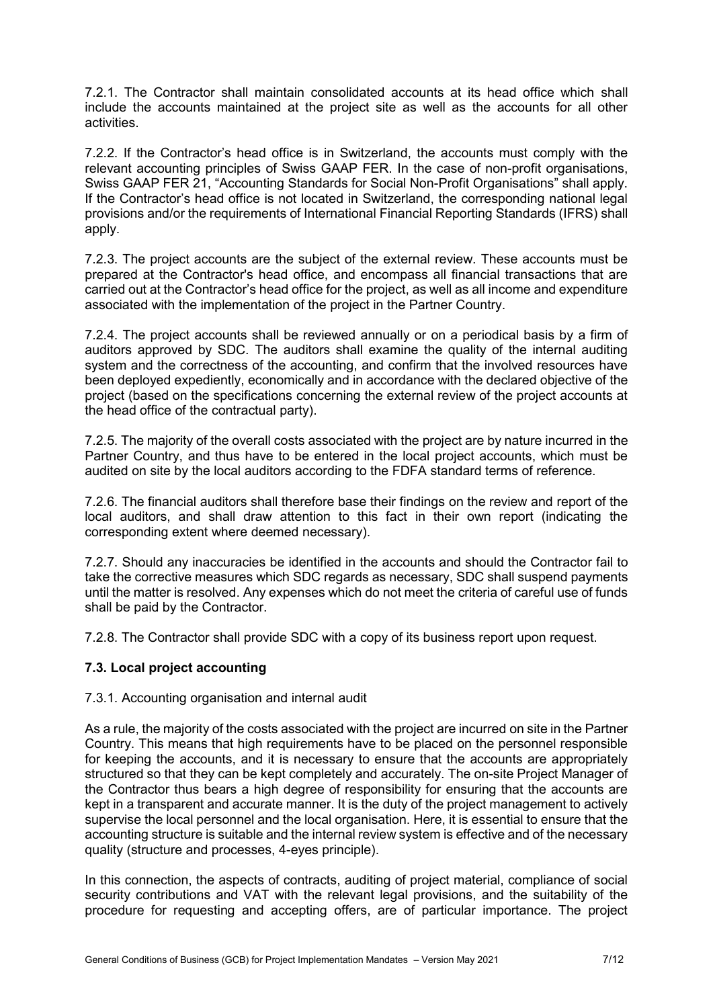7.2.1. The Contractor shall maintain consolidated accounts at its head office which shall include the accounts maintained at the project site as well as the accounts for all other activities.

7.2.2. If the Contractor's head office is in Switzerland, the accounts must comply with the relevant accounting principles of Swiss GAAP FER. In the case of non-profit organisations, Swiss GAAP FER 21, "Accounting Standards for Social Non-Profit Organisations" shall apply. If the Contractor's head office is not located in Switzerland, the corresponding national legal provisions and/or the requirements of International Financial Reporting Standards (IFRS) shall apply.

7.2.3. The project accounts are the subject of the external review. These accounts must be prepared at the Contractor's head office, and encompass all financial transactions that are carried out at the Contractor's head office for the project, as well as all income and expenditure associated with the implementation of the project in the Partner Country.

7.2.4. The project accounts shall be reviewed annually or on a periodical basis by a firm of auditors approved by SDC. The auditors shall examine the quality of the internal auditing system and the correctness of the accounting, and confirm that the involved resources have been deployed expediently, economically and in accordance with the declared objective of the project (based on the specifications concerning the external review of the project accounts at the head office of the contractual party).

7.2.5. The majority of the overall costs associated with the project are by nature incurred in the Partner Country, and thus have to be entered in the local project accounts, which must be audited on site by the local auditors according to the FDFA standard terms of reference.

7.2.6. The financial auditors shall therefore base their findings on the review and report of the local auditors, and shall draw attention to this fact in their own report (indicating the corresponding extent where deemed necessary).

7.2.7. Should any inaccuracies be identified in the accounts and should the Contractor fail to take the corrective measures which SDC regards as necessary, SDC shall suspend payments until the matter is resolved. Any expenses which do not meet the criteria of careful use of funds shall be paid by the Contractor.

7.2.8. The Contractor shall provide SDC with a copy of its business report upon request.

## **7.3. Local project accounting**

#### 7.3.1. Accounting organisation and internal audit

As a rule, the majority of the costs associated with the project are incurred on site in the Partner Country. This means that high requirements have to be placed on the personnel responsible for keeping the accounts, and it is necessary to ensure that the accounts are appropriately structured so that they can be kept completely and accurately. The on-site Project Manager of the Contractor thus bears a high degree of responsibility for ensuring that the accounts are kept in a transparent and accurate manner. It is the duty of the project management to actively supervise the local personnel and the local organisation. Here, it is essential to ensure that the accounting structure is suitable and the internal review system is effective and of the necessary quality (structure and processes, 4-eyes principle).

In this connection, the aspects of contracts, auditing of project material, compliance of social security contributions and VAT with the relevant legal provisions, and the suitability of the procedure for requesting and accepting offers, are of particular importance. The project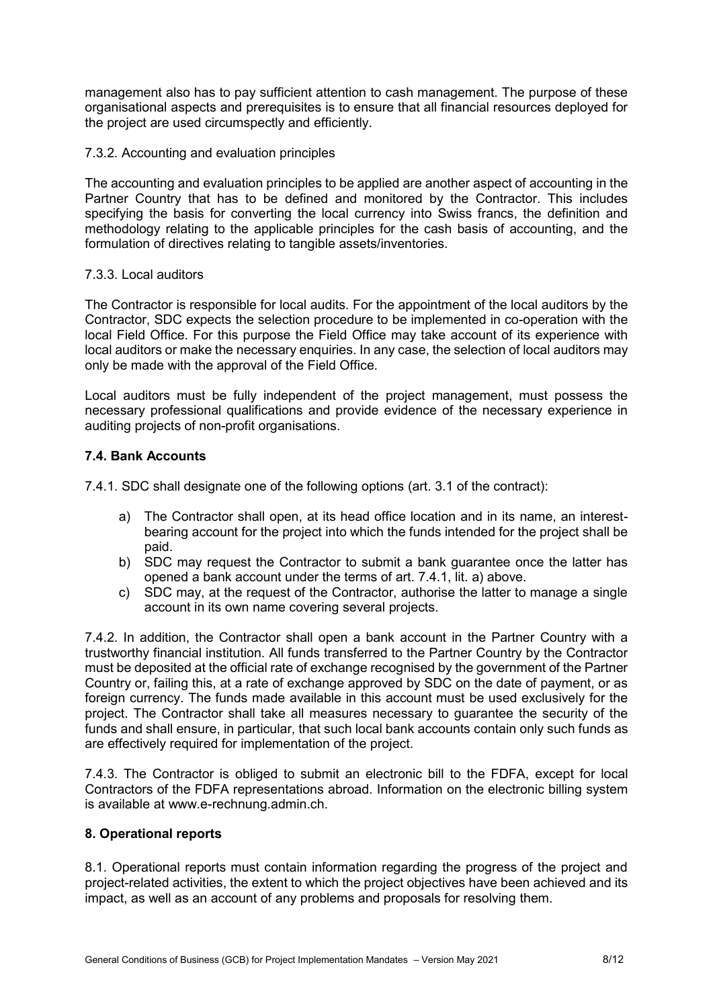management also has to pay sufficient attention to cash management. The purpose of these organisational aspects and prerequisites is to ensure that all financial resources deployed for the project are used circumspectly and efficiently.

## 7.3.2. Accounting and evaluation principles

The accounting and evaluation principles to be applied are another aspect of accounting in the Partner Country that has to be defined and monitored by the Contractor. This includes specifying the basis for converting the local currency into Swiss francs, the definition and methodology relating to the applicable principles for the cash basis of accounting, and the formulation of directives relating to tangible assets/inventories.

### 7.3.3. Local auditors

The Contractor is responsible for local audits. For the appointment of the local auditors by the Contractor, SDC expects the selection procedure to be implemented in co-operation with the local Field Office. For this purpose the Field Office may take account of its experience with local auditors or make the necessary enquiries. In any case, the selection of local auditors may only be made with the approval of the Field Office.

Local auditors must be fully independent of the project management, must possess the necessary professional qualifications and provide evidence of the necessary experience in auditing projects of non-profit organisations.

## **7.4. Bank Accounts**

7.4.1. SDC shall designate one of the following options (art. 3.1 of the contract):

- a) The Contractor shall open, at its head office location and in its name, an interestbearing account for the project into which the funds intended for the project shall be paid.
- b) SDC may request the Contractor to submit a bank guarantee once the latter has opened a bank account under the terms of art. 7.4.1, lit. a) above.
- c) SDC may, at the request of the Contractor, authorise the latter to manage a single account in its own name covering several projects.

7.4.2. In addition, the Contractor shall open a bank account in the Partner Country with a trustworthy financial institution. All funds transferred to the Partner Country by the Contractor must be deposited at the official rate of exchange recognised by the government of the Partner Country or, failing this, at a rate of exchange approved by SDC on the date of payment, or as foreign currency. The funds made available in this account must be used exclusively for the project. The Contractor shall take all measures necessary to guarantee the security of the funds and shall ensure, in particular, that such local bank accounts contain only such funds as are effectively required for implementation of the project.

7.4.3. The Contractor is obliged to submit an electronic bill to the FDFA, except for local Contractors of the FDFA representations abroad. Information on the electronic billing system is available at www.e-rechnung.admin.ch.

## **8. Operational reports**

8.1. Operational reports must contain information regarding the progress of the project and project-related activities, the extent to which the project objectives have been achieved and its impact, as well as an account of any problems and proposals for resolving them.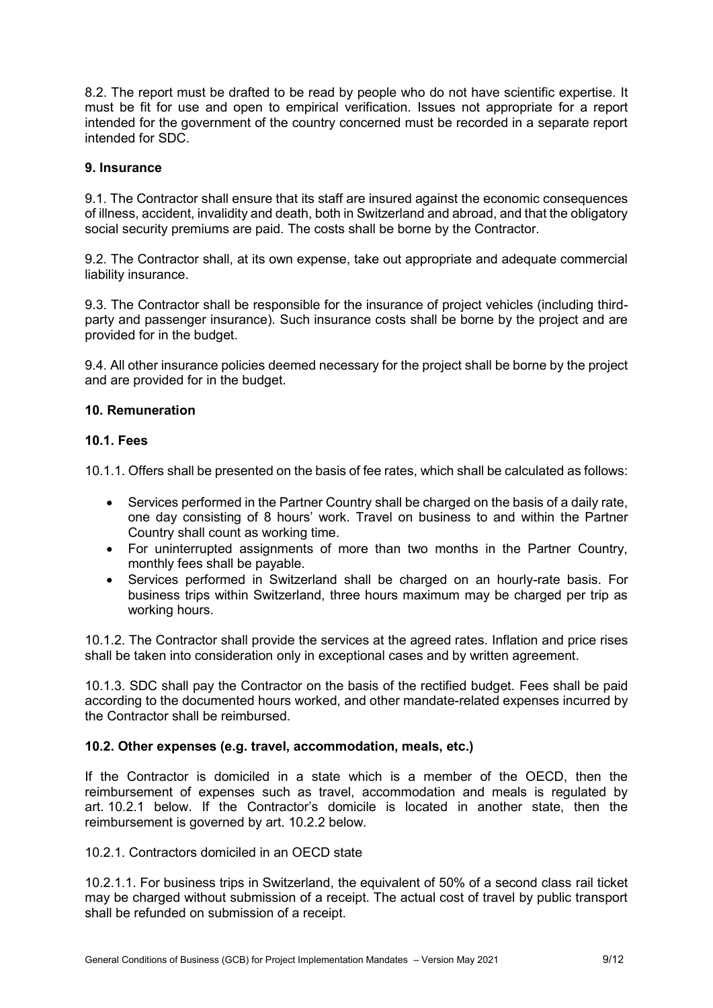8.2. The report must be drafted to be read by people who do not have scientific expertise. It must be fit for use and open to empirical verification. Issues not appropriate for a report intended for the government of the country concerned must be recorded in a separate report intended for SDC.

## **9. Insurance**

9.1. The Contractor shall ensure that its staff are insured against the economic consequences of illness, accident, invalidity and death, both in Switzerland and abroad, and that the obligatory social security premiums are paid. The costs shall be borne by the Contractor.

9.2. The Contractor shall, at its own expense, take out appropriate and adequate commercial liability insurance.

9.3. The Contractor shall be responsible for the insurance of project vehicles (including thirdparty and passenger insurance). Such insurance costs shall be borne by the project and are provided for in the budget.

9.4. All other insurance policies deemed necessary for the project shall be borne by the project and are provided for in the budget.

### **10. Remuneration**

#### **10.1. Fees**

10.1.1. Offers shall be presented on the basis of fee rates, which shall be calculated as follows:

- Services performed in the Partner Country shall be charged on the basis of a daily rate, one day consisting of 8 hours' work. Travel on business to and within the Partner Country shall count as working time.
- For uninterrupted assignments of more than two months in the Partner Country, monthly fees shall be payable.
- Services performed in Switzerland shall be charged on an hourly-rate basis. For business trips within Switzerland, three hours maximum may be charged per trip as working hours.

10.1.2. The Contractor shall provide the services at the agreed rates. Inflation and price rises shall be taken into consideration only in exceptional cases and by written agreement.

10.1.3. SDC shall pay the Contractor on the basis of the rectified budget. Fees shall be paid according to the documented hours worked, and other mandate-related expenses incurred by the Contractor shall be reimbursed.

#### **10.2. Other expenses (e.g. travel, accommodation, meals, etc.)**

If the Contractor is domiciled in a state which is a member of the OECD, then the reimbursement of expenses such as travel, accommodation and meals is regulated by art. 10.2.1 below. If the Contractor's domicile is located in another state, then the reimbursement is governed by art. 10.2.2 below.

10.2.1. Contractors domiciled in an OECD state

10.2.1.1. For business trips in Switzerland, the equivalent of 50% of a second class rail ticket may be charged without submission of a receipt. The actual cost of travel by public transport shall be refunded on submission of a receipt.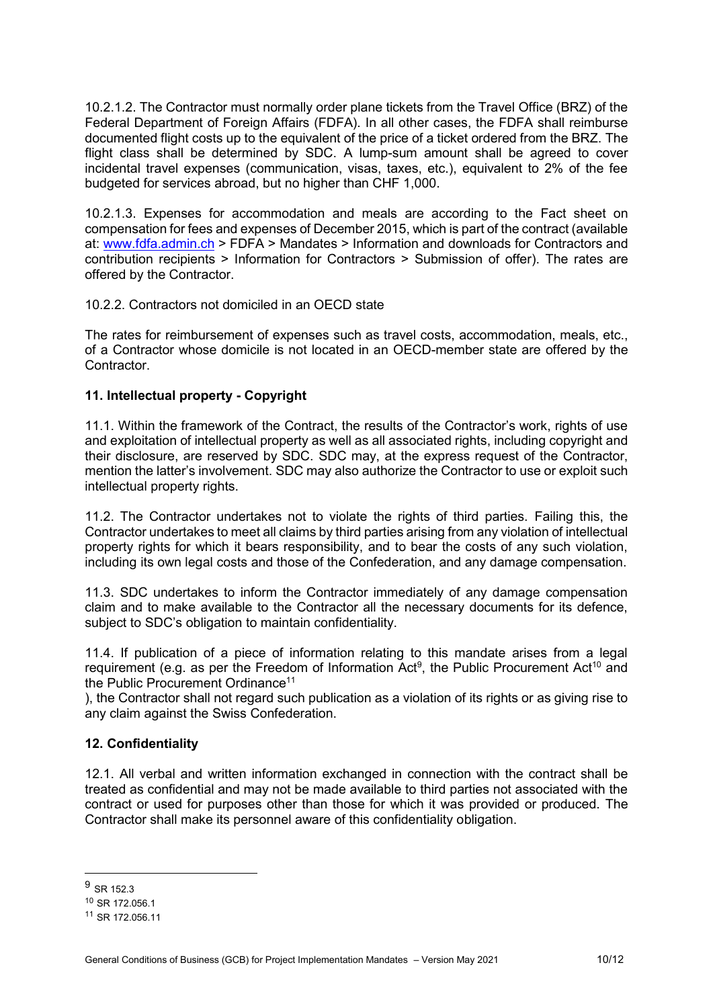10.2.1.2. The Contractor must normally order plane tickets from the Travel Office (BRZ) of the Federal Department of Foreign Affairs (FDFA). In all other cases, the FDFA shall reimburse documented flight costs up to the equivalent of the price of a ticket ordered from the BRZ. The flight class shall be determined by SDC. A lump-sum amount shall be agreed to cover incidental travel expenses (communication, visas, taxes, etc.), equivalent to 2% of the fee budgeted for services abroad, but no higher than CHF 1,000.

10.2.1.3. Expenses for accommodation and meals are according to the Fact sheet on compensation for fees and expenses of December 2015, which is part of the contract (available at: [www.fdfa.admin.ch](https://www.eda.admin.ch/eda/en/fdfa/fdfa/auftraege/informationen-downloads/information-contractors.html) > FDFA > Mandates > Information and downloads for Contractors and contribution recipients > Information for Contractors > Submission of offer). The rates are offered by the Contractor.

### 10.2.2. Contractors not domiciled in an OECD state

The rates for reimbursement of expenses such as travel costs, accommodation, meals, etc., of a Contractor whose domicile is not located in an OECD-member state are offered by the Contractor.

## **11. Intellectual property - Copyright**

11.1. Within the framework of the Contract, the results of the Contractor's work, rights of use and exploitation of intellectual property as well as all associated rights, including copyright and their disclosure, are reserved by SDC. SDC may, at the express request of the Contractor, mention the latter's involvement. SDC may also authorize the Contractor to use or exploit such intellectual property rights.

11.2. The Contractor undertakes not to violate the rights of third parties. Failing this, the Contractor undertakes to meet all claims by third parties arising from any violation of intellectual property rights for which it bears responsibility, and to bear the costs of any such violation, including its own legal costs and those of the Confederation, and any damage compensation.

11.3. SDC undertakes to inform the Contractor immediately of any damage compensation claim and to make available to the Contractor all the necessary documents for its defence, subject to SDC's obligation to maintain confidentiality.

11.4. If publication of a piece of information relating to this mandate arises from a legal requirement (e.g. as per the Freedom of Information Act<sup>9</sup>, the Public Procurement Act<sup>10</sup> and the Public Procurement Ordinance<sup>11</sup>

), the Contractor shall not regard such publication as a violation of its rights or as giving rise to any claim against the Swiss Confederation.

## **12. Confidentiality**

12.1. All verbal and written information exchanged in connection with the contract shall be treated as confidential and may not be made available to third parties not associated with the contract or used for purposes other than those for which it was provided or produced. The Contractor shall make its personnel aware of this confidentiality obligation.

 $\overline{a}$ 

 $9$  SR 152.3

<sup>10</sup> SR 172.056.1

<sup>11</sup> SR 172.056.11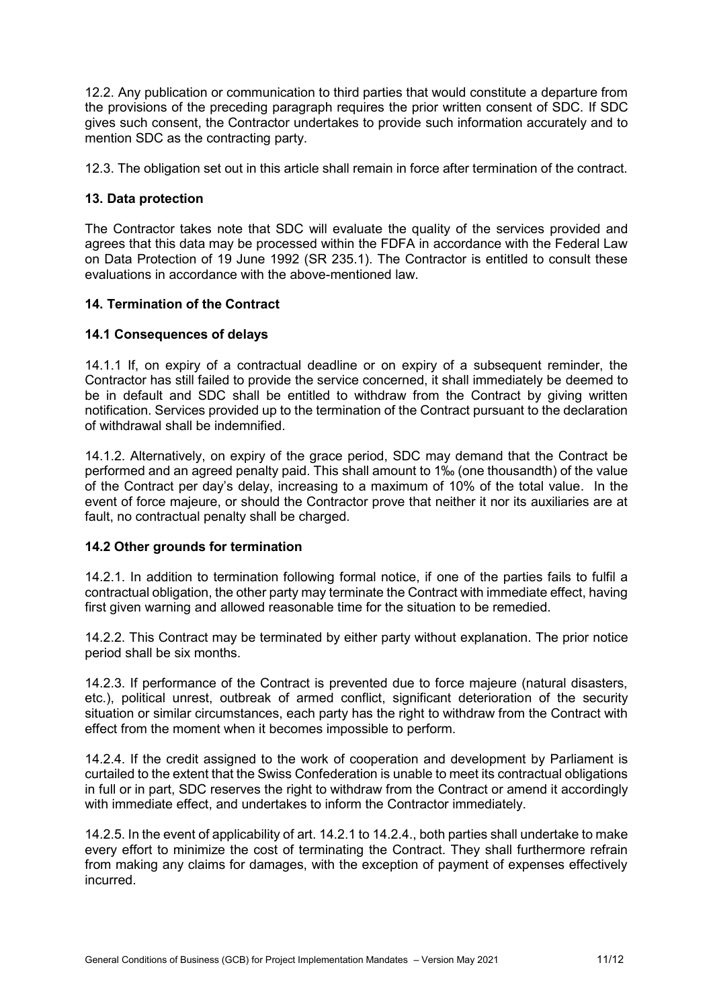12.2. Any publication or communication to third parties that would constitute a departure from the provisions of the preceding paragraph requires the prior written consent of SDC. If SDC gives such consent, the Contractor undertakes to provide such information accurately and to mention SDC as the contracting party.

12.3. The obligation set out in this article shall remain in force after termination of the contract.

# **13. Data protection**

The Contractor takes note that SDC will evaluate the quality of the services provided and agrees that this data may be processed within the FDFA in accordance with the Federal Law on Data Protection of 19 June 1992 (SR 235.1). The Contractor is entitled to consult these evaluations in accordance with the above-mentioned law.

# **14. Termination of the Contract**

# **14.1 Consequences of delays**

14.1.1 If, on expiry of a contractual deadline or on expiry of a subsequent reminder, the Contractor has still failed to provide the service concerned, it shall immediately be deemed to be in default and SDC shall be entitled to withdraw from the Contract by giving written notification. Services provided up to the termination of the Contract pursuant to the declaration of withdrawal shall be indemnified.

14.1.2. Alternatively, on expiry of the grace period, SDC may demand that the Contract be performed and an agreed penalty paid. This shall amount to 1‰ (one thousandth) of the value of the Contract per day's delay, increasing to a maximum of 10% of the total value. In the event of force majeure, or should the Contractor prove that neither it nor its auxiliaries are at fault, no contractual penalty shall be charged.

## **14.2 Other grounds for termination**

14.2.1. In addition to termination following formal notice, if one of the parties fails to fulfil a contractual obligation, the other party may terminate the Contract with immediate effect, having first given warning and allowed reasonable time for the situation to be remedied.

14.2.2. This Contract may be terminated by either party without explanation. The prior notice period shall be six months.

14.2.3. If performance of the Contract is prevented due to force majeure (natural disasters, etc.), political unrest, outbreak of armed conflict, significant deterioration of the security situation or similar circumstances, each party has the right to withdraw from the Contract with effect from the moment when it becomes impossible to perform.

14.2.4. If the credit assigned to the work of cooperation and development by Parliament is curtailed to the extent that the Swiss Confederation is unable to meet its contractual obligations in full or in part, SDC reserves the right to withdraw from the Contract or amend it accordingly with immediate effect, and undertakes to inform the Contractor immediately.

14.2.5. In the event of applicability of art. 14.2.1 to 14.2.4., both parties shall undertake to make every effort to minimize the cost of terminating the Contract. They shall furthermore refrain from making any claims for damages, with the exception of payment of expenses effectively incurred.